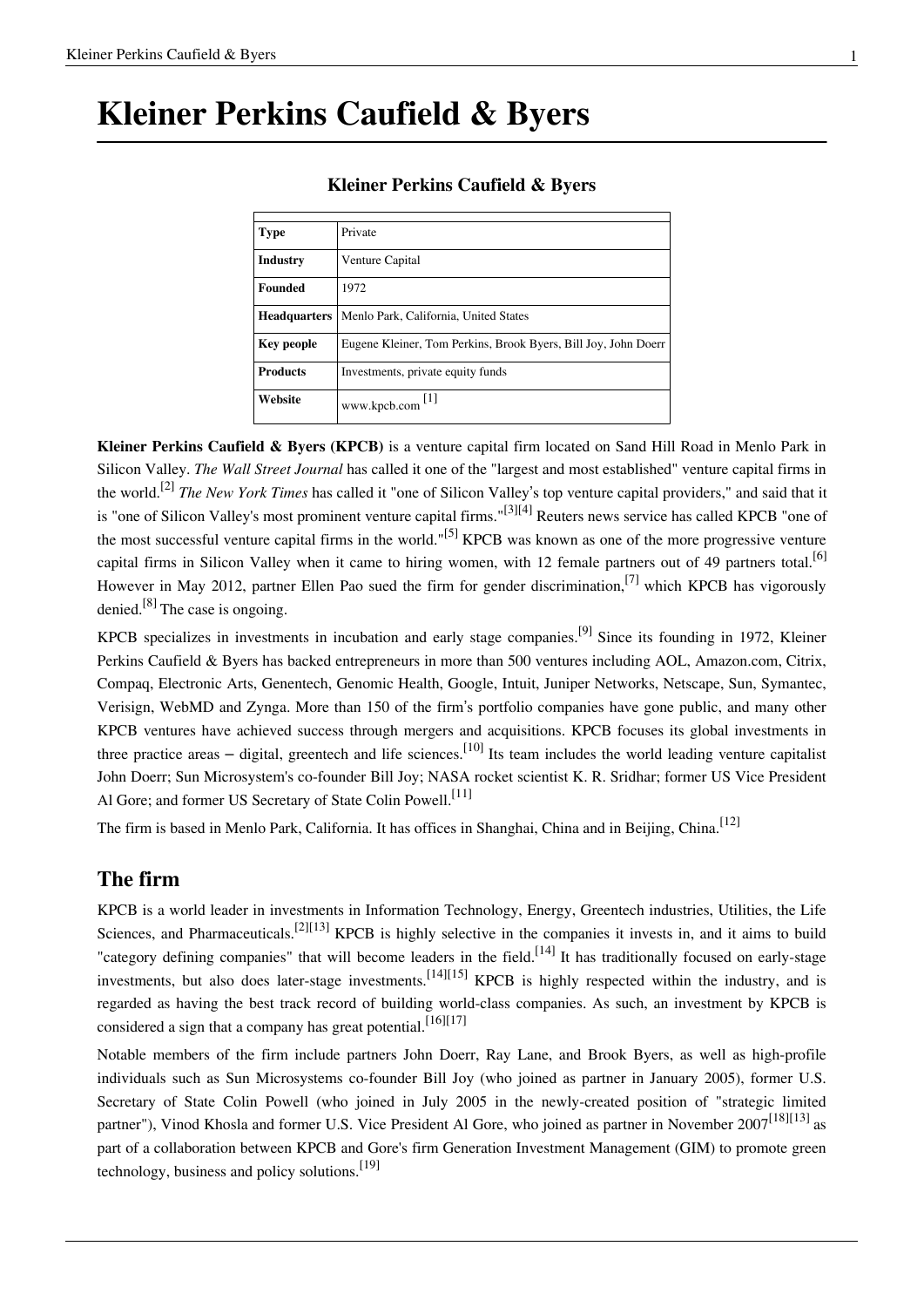## **Kleiner Perkins Caufield & Byers**

| <b>Type</b>         | Private                                                        |
|---------------------|----------------------------------------------------------------|
| <b>Industry</b>     | Venture Capital                                                |
| <b>Founded</b>      | 1972                                                           |
| <b>Headquarters</b> | Menlo Park, California, United States                          |
| <b>Key people</b>   | Eugene Kleiner, Tom Perkins, Brook Byers, Bill Joy, John Doerr |
| <b>Products</b>     | Investments, private equity funds                              |
| Website             | Ш<br>www.kpcb.com                                              |

### **Kleiner Perkins Caufield & Byers**

**Kleiner Perkins Caufield & Byers (KPCB)** is a [venture capital firm](http://en.wikipedia.org/w/index.php?title=Venture_capital_firm) located on [Sand Hill Road i](http://en.wikipedia.org/w/index.php?title=Sand_Hill_Road)n [Menlo Park i](http://en.wikipedia.org/w/index.php?title=Menlo_Park%2C_California)n [Silicon Valley](http://en.wikipedia.org/w/index.php?title=Silicon_Valley). *[The Wall Street Journal](http://en.wikipedia.org/w/index.php?title=The_Wall_Street_Journal)* has called it one of the "largest and most established" venture capital firms in the world.[2] *[The New York Times](http://en.wikipedia.org/w/index.php?title=The_New_York_Times)* has called it "one of Silicon Valley's top venture capital providers," and said that it is "one of Silicon Valley's most prominent venture capital firms."[3][4] [Reuters n](http://en.wikipedia.org/w/index.php?title=Reuters)ews service has called KPCB "one of the most successful venture capital firms in the world."<sup>[5]</sup> KPCB was known as one of the more progressive venture capital firms in Silicon Valley when it came to hiring women, with 12 female partners out of 49 partners total.<sup>[6]</sup> However in May 2012, partner Ellen Pao sued the firm for gender discrimination,<sup>[7]</sup> which KPCB has vigorously denied.<sup>[8]</sup> The case is ongoing.

KPCB specializes in investments in incubation and early stage companies.[9] Since its founding in 1972, Kleiner Perkins Caufield & Byers has backed entrepreneurs in more than 500 ventures including [AOL,](http://en.wikipedia.org/w/index.php?title=AOL) [Amazon.com,](http://en.wikipedia.org/w/index.php?title=Amazon.com) [Citrix](http://en.wikipedia.org/w/index.php?title=Citrix), [Compaq,](http://en.wikipedia.org/w/index.php?title=Compaq) [Electronic Arts](http://en.wikipedia.org/w/index.php?title=Electronic_Arts), [Genentech,](http://en.wikipedia.org/w/index.php?title=Genentech) [Genomic Health](http://en.wikipedia.org/w/index.php?title=Genomic_Health), [Google](http://en.wikipedia.org/w/index.php?title=Google), [Intuit](http://en.wikipedia.org/w/index.php?title=Intuit), [Juniper Networks](http://en.wikipedia.org/w/index.php?title=Juniper_Networks), [Netscape](http://en.wikipedia.org/w/index.php?title=Netscape), [Sun](http://en.wikipedia.org/w/index.php?title=Sun), [Symantec](http://en.wikipedia.org/w/index.php?title=Symantec), [Verisign](http://en.wikipedia.org/w/index.php?title=Verisign), [WebMD](http://en.wikipedia.org/w/index.php?title=WebMD) and [Zynga.](http://en.wikipedia.org/w/index.php?title=Zynga) More than 150 of the firm's portfolio companies have gone public, and many other KPCB ventures have achieved success through mergers and acquisitions. KPCB focuses its global investments in three practice areas – digital, greentech and life sciences.<sup>[10]</sup> Its team includes the world leading venture capitalist [John Doerr;](http://en.wikipedia.org/w/index.php?title=John_Doerr) Sun Microsystem's co-founder [Bill Joy](http://en.wikipedia.org/w/index.php?title=Bill_Joy); NASA rocket scientist [K. R. Sridhar;](http://en.wikipedia.org/w/index.php?title=K._R._Sridhar) former US Vice President [Al Gore](http://en.wikipedia.org/w/index.php?title=Al_Gore); and former US Secretary of State [Colin Powell](http://en.wikipedia.org/w/index.php?title=Colin_Powell).<sup>[11]</sup>

The firm is based in [Menlo Park, California.](http://en.wikipedia.org/w/index.php?title=Menlo_Park%2C_California) It has offices in [Shanghai](http://en.wikipedia.org/w/index.php?title=Shanghai), [China a](http://en.wikipedia.org/w/index.php?title=China)nd in [Beijing](http://en.wikipedia.org/w/index.php?title=Beijing), China.<sup>[12]</sup>

## **The firm**

KPCB is a world leader in investments in [Information Technology](http://en.wikipedia.org/w/index.php?title=Information_Technology), [Energy,](http://en.wikipedia.org/w/index.php?title=Energy) [Greentech](http://en.wikipedia.org/w/index.php?title=Greentech) industries, [Utilities](http://en.wikipedia.org/w/index.php?title=Utilities), the [Life](http://en.wikipedia.org/w/index.php?title=Life_Sciences) [Sciences,](http://en.wikipedia.org/w/index.php?title=Life_Sciences) and [Pharmaceuticals](http://en.wikipedia.org/w/index.php?title=Pharmaceuticals).<sup>[2][13]</sup> KPCB is highly selective in the companies it invests in, and it aims to build "category defining companies" that will become leaders in the field.<sup>[14]</sup> It has traditionally focused on early-stage investments, but also does later-stage investments.<sup>[14][15]</sup> KPCB is highly respected within the industry, and is regarded as having the best track record of building world-class companies. As such, an investment by KPCB is considered a sign that a company has great potential.<sup>[16][17]</sup>

Notable members of the firm include partners [John Doerr](http://en.wikipedia.org/w/index.php?title=John_Doerr), Ray Lane, and [Brook Byers,](http://en.wikipedia.org/w/index.php?title=Brook_Byers) as well as high-profile individuals such as [Sun Microsystems c](http://en.wikipedia.org/w/index.php?title=Sun_Microsystems)o-founder [Bill Joy](http://en.wikipedia.org/w/index.php?title=Bill_Joy) (who joined as partner in January 2005), former [U.S.](http://en.wikipedia.org/w/index.php?title=United_States_Secretary_of_State) [Secretary of State](http://en.wikipedia.org/w/index.php?title=United_States_Secretary_of_State) [Colin Powell \(](http://en.wikipedia.org/w/index.php?title=Colin_Powell)who joined in July 2005 in the newly-created position of "strategic limited partner"), [Vinod Khosla a](http://en.wikipedia.org/w/index.php?title=Vinod_Khosla)nd former [U.S. Vice President](http://en.wikipedia.org/w/index.php?title=Vice_President_of_the_United_States) [Al Gore,](http://en.wikipedia.org/w/index.php?title=Al_Gore) who joined as partner in November 2007<sup>[18][13]</sup> as part of a collaboration between KPCB and Gore's firm [Generation Investment Management \(](http://en.wikipedia.org/w/index.php?title=Generation_Investment_Management)GIM) to promote [green](http://en.wikipedia.org/w/index.php?title=Environmental_technology) [technology](http://en.wikipedia.org/w/index.php?title=Environmental_technology), business and policy solutions. $[19]$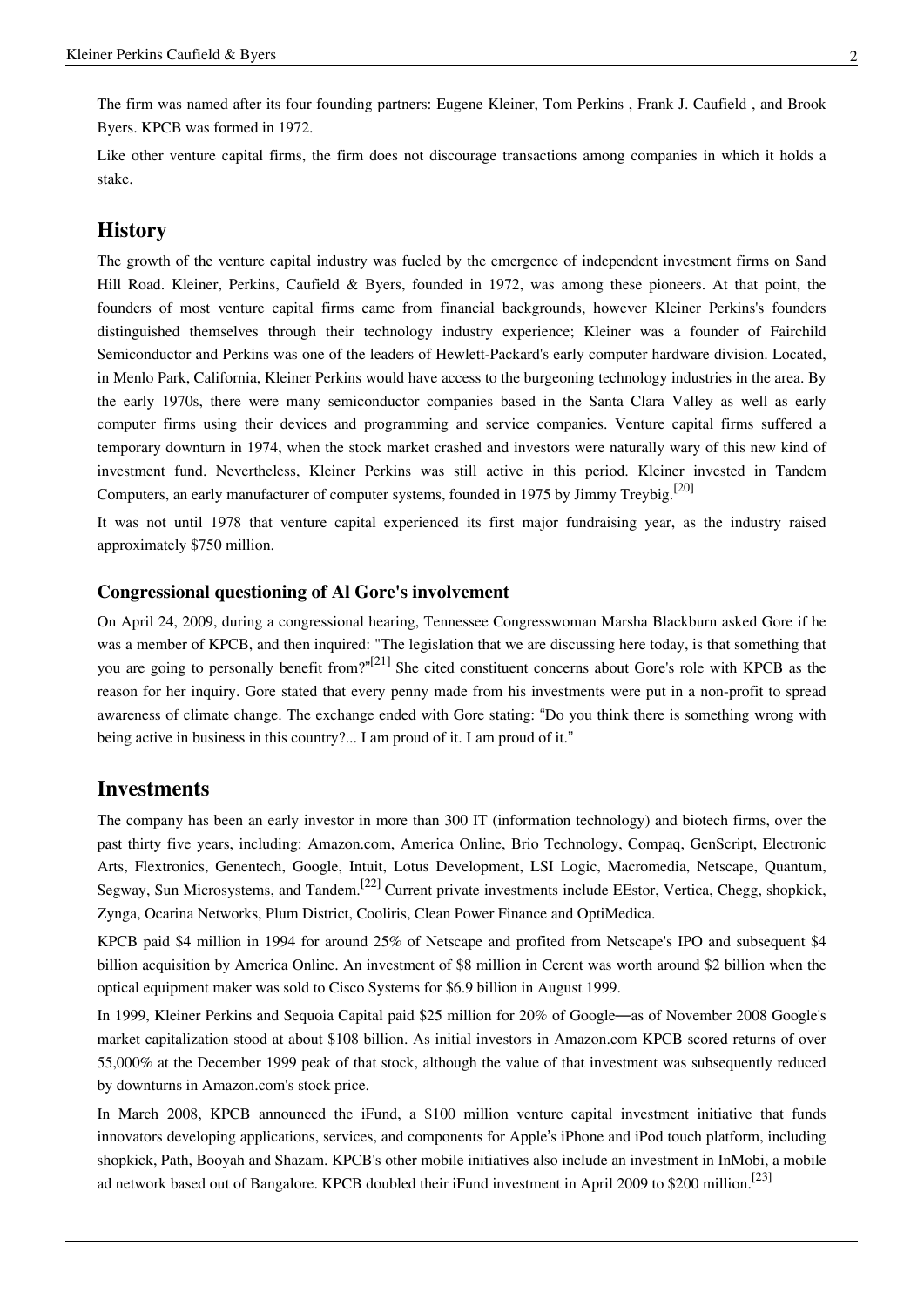The firm was named after its four founding partners: [Eugene Kleiner](http://en.wikipedia.org/w/index.php?title=Eugene_Kleiner), [Tom Perkins](http://en.wikipedia.org/w/index.php?title=Tom_Perkins) , [Frank J. Caufield](http://en.wikipedia.org/w/index.php?title=Frank_J._Caufield) , and [Brook](http://en.wikipedia.org/w/index.php?title=Brook_Byers) [Byers](http://en.wikipedia.org/w/index.php?title=Brook_Byers). KPCB was formed in 1972.

Like other venture capital firms, the firm does not discourage transactions among companies in which it holds a [stake](http://en.wikipedia.org/w/index.php?title=Stakeholder_%28corporate%29).

### **History**

The growth of the venture capital industry was fueled by the emergence of independent investment firms on [Sand](http://en.wikipedia.org/w/index.php?title=Sand_Hill_Road) [Hill Road.](http://en.wikipedia.org/w/index.php?title=Sand_Hill_Road) Kleiner, Perkins, Caufield & Byers, founded in 1972, was among these pioneers. At that point, the founders of most [venture capital](http://en.wikipedia.org/w/index.php?title=Venture_capital) firms came from financial backgrounds, however Kleiner Perkins's founders distinguished themselves through their technology industry experience; Kleiner was a founder of [Fairchild](http://en.wikipedia.org/w/index.php?title=Fairchild_Semiconductor) [Semiconductor](http://en.wikipedia.org/w/index.php?title=Fairchild_Semiconductor) and Perkins was one of the leaders of [Hewlett-Packard](http://en.wikipedia.org/w/index.php?title=Hewlett-Packard)'s early computer hardware division. Located, in [Menlo Park, California,](http://en.wikipedia.org/w/index.php?title=Menlo_Park%2C_California) Kleiner Perkins would have access to the burgeoning technology industries in the area. By the early 1970s, there were many [semiconductor](http://en.wikipedia.org/w/index.php?title=Semiconductor) companies based in the [Santa Clara Valley](http://en.wikipedia.org/w/index.php?title=Santa_Clara_Valley) as well as early [computer](http://en.wikipedia.org/w/index.php?title=Computer) firms using their devices and programming and service companies. Venture capital firms suffered a temporary downturn in 1974, when the stock market crashed and investors were naturally wary of this new kind of investment fund. Nevertheless, Kleiner Perkins was still active in this period. Kleiner invested in [Tandem](http://en.wikipedia.org/w/index.php?title=Tandem_Computers) [Computers,](http://en.wikipedia.org/w/index.php?title=Tandem_Computers) an early manufacturer of computer systems, founded in 1975 by [Jimmy Treybig.](http://en.wikipedia.org/w/index.php?title=James_Treybig)<sup>[20]</sup>

It was not until 1978 that venture capital experienced its first major fundraising year, as the industry raised approximately \$750 million.

#### **Congressional questioning of Al Gore's involvement**

On April 24, 2009, during a congressional hearing, Tennessee Congresswoman [Marsha Blackburn](http://en.wikipedia.org/w/index.php?title=Marsha_Blackburn) asked Gore if he was a member of KPCB, and then inquired: "The legislation that we are discussing here today, is that something that you are going to personally benefit from?"<sup>[21]</sup> She cited constituent concerns about Gore's role with KPCB as the reason for her inquiry. Gore stated that every penny made from his investments were put in a non-profit to spread awareness of climate change. The exchange ended with Gore stating: "Do you think there is something wrong with being active in business in this country?... I am proud of it. I am proud of it."

### **Investments**

The company has been an early investor in more than 300 IT (information technology) and biotech firms, over the past thirty five years, including: [Amazon.com,](http://en.wikipedia.org/w/index.php?title=Amazon.com) [America Online](http://en.wikipedia.org/w/index.php?title=America_Online), [Brio Technology,](http://en.wikipedia.org/w/index.php?title=Brio_Technology) [Compaq,](http://en.wikipedia.org/w/index.php?title=Compaq) [GenScript](http://en.wikipedia.org/w/index.php?title=GenScript), [Electronic](http://en.wikipedia.org/w/index.php?title=Electronic_Arts) [Arts,](http://en.wikipedia.org/w/index.php?title=Electronic_Arts) [Flextronics,](http://en.wikipedia.org/w/index.php?title=Flextronics) [Genentech,](http://en.wikipedia.org/w/index.php?title=Genentech) [Google](http://en.wikipedia.org/w/index.php?title=Google), [Intuit,](http://en.wikipedia.org/w/index.php?title=Intuit) [Lotus Development,](http://en.wikipedia.org/w/index.php?title=Lotus_Development) [LSI Logic,](http://en.wikipedia.org/w/index.php?title=LSI_Logic) [Macromedia](http://en.wikipedia.org/w/index.php?title=Macromedia), [Netscape,](http://en.wikipedia.org/w/index.php?title=Netscape_Communications_Corporation) [Quantum](http://en.wikipedia.org/w/index.php?title=Quantum_Corporation), [Segway](http://en.wikipedia.org/w/index.php?title=Segway_Inc.), [Sun Microsystems](http://en.wikipedia.org/w/index.php?title=Sun_Microsystems), and [Tandem.](http://en.wikipedia.org/w/index.php?title=Tandem_Computers)<sup>[22]</sup> Current private investments include [EEstor](http://en.wikipedia.org/w/index.php?title=EEstor), [Vertica](http://en.wikipedia.org/w/index.php?title=Vertica), [Chegg,](http://en.wikipedia.org/w/index.php?title=Chegg) shopkick, [Zynga](http://en.wikipedia.org/w/index.php?title=Zynga), [Ocarina Networks](http://en.wikipedia.org/w/index.php?title=Ocarina_Networks), [Plum District,](http://en.wikipedia.org/w/index.php?title=Plum_District) [Cooliris](http://en.wikipedia.org/w/index.php?title=Cooliris), [Clean Power Finance](http://en.wikipedia.org/w/index.php?title=Clean_Power_Finance) and [OptiMedica.](http://en.wikipedia.org/w/index.php?title=OptiMedica)

KPCB paid \$4 million in 1994 for around 25% of Netscape and profited from Netscape's [IPO a](http://en.wikipedia.org/w/index.php?title=Initial_public_offering)nd subsequent \$4 billion acquisition by [America Online.](http://en.wikipedia.org/w/index.php?title=America_Online) An investment of \$8 million in [Cerent w](http://en.wikipedia.org/w/index.php?title=Cerent)as worth around \$2 billion when the optical equipment maker was sold to [Cisco Systems](http://en.wikipedia.org/w/index.php?title=Cisco_Systems) for \$6.9 billion in August 1999.

In 1999, Kleiner Perkins and [Sequoia Capital p](http://en.wikipedia.org/w/index.php?title=Sequoia_Capital)aid \$25 million for 20% of [Google](http://en.wikipedia.org/w/index.php?title=Google)—as of November 2008 Google's [market capitalization s](http://en.wikipedia.org/w/index.php?title=Market_capitalization)tood at about \$108 billion. As initial investors in Amazon.com KPCB scored returns of over 55,000% at the December [1999](http://en.wikipedia.org/w/index.php?title=1999) peak of that stock, although the value of that investment was subsequently reduced by downturns in Amazon.com's stock price.

In March 2008, KPCB announced the [iFund](http://en.wikipedia.org/w/index.php?title=IFund), a \$100 million venture capital investment initiative that funds innovators developing applications, services, and components for Apple's iPhone and iPod touch platform, including shopkick, Path, [Booyah](http://en.wikipedia.org/w/index.php?title=Booyah) and [Shazam.](http://en.wikipedia.org/w/index.php?title=Shazam_%28service%29) KPCB's other mobile initiatives also include an investment in [InMobi,](http://en.wikipedia.org/w/index.php?title=InMobi) a mobile ad network based out of Bangalore. KPCB doubled their iFund investment in April 2009 to \$200 million.<sup>[23]</sup>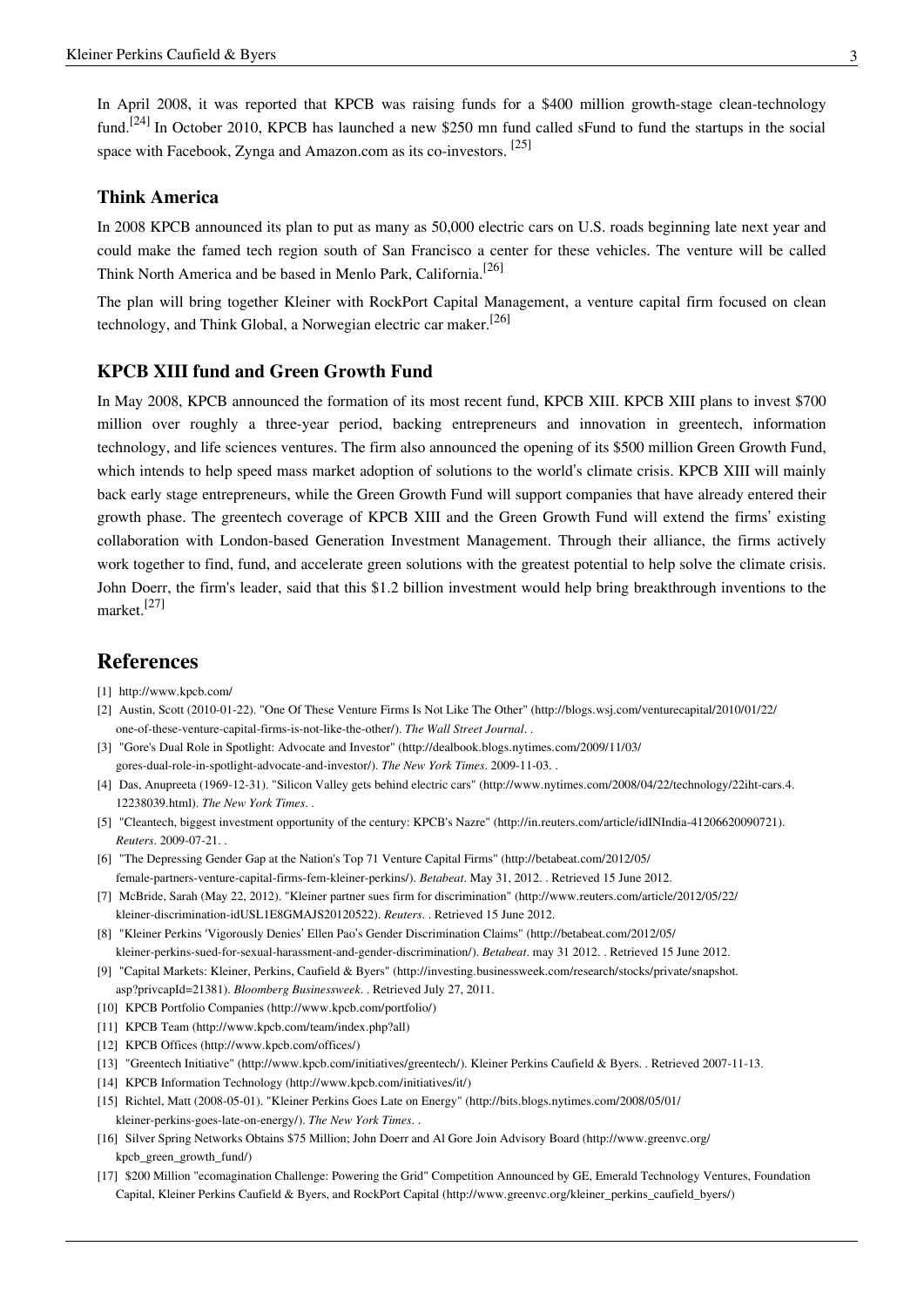In April 2008, it was reported that KPCB was raising funds for a \$400 million growth-stage clean-technology fund.<sup>[24]</sup> In October 2010, KPCB has launched a new \$250 mn fund called sFund to fund the startups in the social space with [Facebook,](http://en.wikipedia.org/w/index.php?title=Facebook) [Zynga a](http://en.wikipedia.org/w/index.php?title=Zynga)nd [Amazon.com a](http://en.wikipedia.org/w/index.php?title=Amazon.com)s its co-investors. <sup>[25]</sup>

#### **Think America**

In 2008 KPCB announced its plan to put as many as 50,000 [electric cars](http://en.wikipedia.org/w/index.php?title=Electric_car) on U.S. roads beginning late next year and could make the famed tech region south of San Francisco a center for these vehicles. The venture will be called Think North America and be based in [Menlo Park, California.](http://en.wikipedia.org/w/index.php?title=Menlo_Park%2C_California)<sup>[26]</sup>

The plan will bring together Kleiner with [RockPort Capital Management](http://en.wikipedia.org/w/index.php?title=RockPort_Capital_Management), a venture capital firm focused on [clean](http://en.wikipedia.org/w/index.php?title=Clean_technology) [technology](http://en.wikipedia.org/w/index.php?title=Clean_technology), and [Think Global,](http://en.wikipedia.org/w/index.php?title=Think_Global) a Norwegian electric car maker.<sup>[26]</sup>

#### **KPCB XIII fund and Green Growth Fund**

In May 2008, KPCB announced the formation of its most recent fund, KPCB XIII. KPCB XIII plans to invest \$700 million over roughly a three-year period, backing entrepreneurs and innovation in [greentech](http://en.wikipedia.org/w/index.php?title=Environmental_technology), information technology, and life sciences ventures. The firm also announced the opening of its \$500 million Green Growth Fund, which intends to help speed mass market adoption of solutions to the world's [climate crisis.](http://en.wikipedia.org/w/index.php?title=Climate_crisis) KPCB XIII will mainly back early stage entrepreneurs, while the Green Growth Fund will support companies that have already entered their growth phase. The greentech coverage of KPCB XIII and the Green Growth Fund will extend the firms' existing collaboration with London-based [Generation Investment Management.](http://en.wikipedia.org/w/index.php?title=Generation_Investment_Management) Through their alliance, the firms actively work together to find, fund, and accelerate green solutions with the greatest potential to help solve the [climate crisis](http://en.wikipedia.org/w/index.php?title=Climate_crisis). John Doerr, the firm's leader, said that this \$1.2 billion investment would help bring breakthrough inventions to the market.[27]

## **References**

- [1] <http://www.kpcb.com/>
- [2] Austin, Scott (2010-01-22). "One Of These Venture Firms Is Not Like The Other" [\(http://blogs.wsj.com/venturecapital/2010/01/22/](http://blogs.wsj.com/venturecapital/2010/01/22/one-of-these-venture-capital-firms-is-not-like-the-other/) [one-of-these-venture-capital-firms-is-not-like-the-other/\)](http://blogs.wsj.com/venturecapital/2010/01/22/one-of-these-venture-capital-firms-is-not-like-the-other/). *The Wall Street Journal*. .
- [3] "Gore's Dual Role in Spotlight: Advocate and Investor" [\(http://dealbook.blogs.nytimes.com/2009/11/03/](http://dealbook.blogs.nytimes.com/2009/11/03/gores-dual-role-in-spotlight-advocate-and-investor/) [gores-dual-role-in-spotlight-advocate-and-investor/\)](http://dealbook.blogs.nytimes.com/2009/11/03/gores-dual-role-in-spotlight-advocate-and-investor/). *The New York Times*. 2009-11-03. .
- [4] Das, Anupreeta (1969-12-31). "Silicon Valley gets behind electric cars" [\(http://www.nytimes.com/2008/04/22/technology/22iht-cars.4.](http://www.nytimes.com/2008/04/22/technology/22iht-cars.4.12238039.html) [12238039.html\)](http://www.nytimes.com/2008/04/22/technology/22iht-cars.4.12238039.html). *The New York Times*. .
- [5] "Cleantech, biggest investment opportunity of the century: KPCB's Nazre" [\(http://in.reuters.com/article/idINIndia-41206620090721\)](http://in.reuters.com/article/idINIndia-41206620090721). *Reuters*. 2009-07-21. .
- [6] "The Depressing Gender Gap at the Nation's Top 71 Venture Capital Firms" [\(http://betabeat.com/2012/05/](http://betabeat.com/2012/05/female-partners-venture-capital-firms-fem-kleiner-perkins/) [female-partners-venture-capital-firms-fem-kleiner-perkins/\)](http://betabeat.com/2012/05/female-partners-venture-capital-firms-fem-kleiner-perkins/). *Betabeat*. May 31, 2012. . Retrieved 15 June 2012.
- [7] McBride, Sarah (May 22, 2012). "Kleiner partner sues firm for discrimination" [\(http://www.reuters.com/article/2012/05/22/](http://www.reuters.com/article/2012/05/22/kleiner-discrimination-idUSL1E8GMAJS20120522) [kleiner-discrimination-idUSL1E8GMAJS20120522\).](http://www.reuters.com/article/2012/05/22/kleiner-discrimination-idUSL1E8GMAJS20120522) *Reuters*. . Retrieved 15 June 2012.
- [8] "Kleiner Perkins 'Vigorously Denies' Ellen Pao's Gender Discrimination Claims" [\(http://betabeat.com/2012/05/](http://betabeat.com/2012/05/kleiner-perkins-sued-for-sexual-harassment-and-gender-discrimination/) [kleiner-perkins-sued-for-sexual-harassment-and-gender-discrimination/\).](http://betabeat.com/2012/05/kleiner-perkins-sued-for-sexual-harassment-and-gender-discrimination/) *Betabeat*. may 31 2012. . Retrieved 15 June 2012.
- [9] "Capital Markets: Kleiner, Perkins, Caufield & Byers" [\(http://investing.businessweek.com/research/stocks/private/snapshot.](http://investing.businessweek.com/research/stocks/private/snapshot.asp?privcapId=21381) [asp?privcapId=21381\).](http://investing.businessweek.com/research/stocks/private/snapshot.asp?privcapId=21381) *Bloomberg Businessweek*. . Retrieved July 27, 2011.
- [10] KPCB Portfolio Companies [\(http://www.kpcb.com/portfolio/\)](http://www.kpcb.com/portfolio/)
- [11] KPCB Team [\(http://www.kpcb.com/team/index.php?all\)](http://www.kpcb.com/team/index.php?all)
- [12] KPCB Offices [\(http://www.kpcb.com/offices/\)](http://www.kpcb.com/offices/)
- [13] "Greentech Initiative" [\(http://www.kpcb.com/initiatives/greentech/\)](http://www.kpcb.com/initiatives/greentech/). Kleiner Perkins Caufield & Byers. . Retrieved 2007-11-13.
- [14] KPCB Information Technology [\(http://www.kpcb.com/initiatives/it/\)](http://www.kpcb.com/initiatives/it/)
- [15] Richtel, Matt (2008-05-01). "Kleiner Perkins Goes Late on Energy" [\(http://bits.blogs.nytimes.com/2008/05/01/](http://bits.blogs.nytimes.com/2008/05/01/kleiner-perkins-goes-late-on-energy/) [kleiner-perkins-goes-late-on-energy/\).](http://bits.blogs.nytimes.com/2008/05/01/kleiner-perkins-goes-late-on-energy/) *The New York Times*. .
- [16] Silver Spring Networks Obtains \$75 Million; John Doerr and Al Gore Join Advisory Board [\(http://www.greenvc.org/](http://www.greenvc.org/kpcb_green_growth_fund/) [kpcb\\_green\\_growth\\_fund/\)](http://www.greenvc.org/kpcb_green_growth_fund/)
- [17] \$200 Million "ecomagination Challenge: Powering the Grid" Competition Announced by GE, Emerald Technology Ventures, Foundation Capital, Kleiner Perkins Caufield & Byers, and RockPort Capital [\(http://www.greenvc.org/kleiner\\_perkins\\_caufield\\_byers/\)](http://www.greenvc.org/kleiner_perkins_caufield_byers/)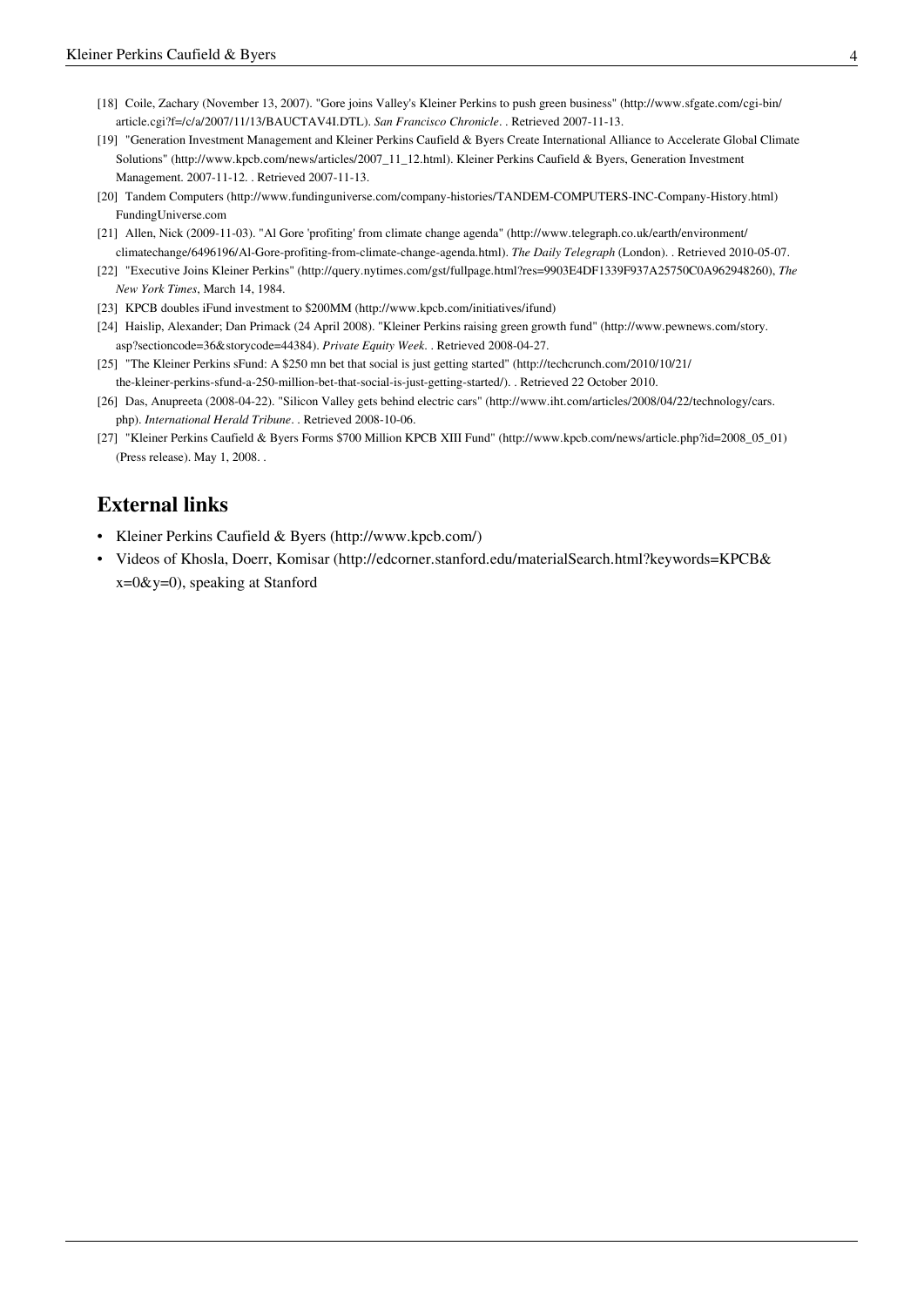- [18] Coile, Zachary (November 13, 2007). "Gore joins Valley's Kleiner Perkins to push green business" [\(http://www.sfgate.com/cgi-bin/](http://www.sfgate.com/cgi-bin/article.cgi?f=/c/a/2007/11/13/BAUCTAV4I.DTL) [article.cgi?f=/c/a/2007/11/13/BAUCTAV4I.DTL\)](http://www.sfgate.com/cgi-bin/article.cgi?f=/c/a/2007/11/13/BAUCTAV4I.DTL). *San Francisco Chronicle*. . Retrieved 2007-11-13.
- [19] "Generation Investment Management and Kleiner Perkins Caufield & Byers Create International Alliance to Accelerate Global Climate Solutions" [\(http://www.kpcb.com/news/articles/2007\\_11\\_12.html\)](http://www.kpcb.com/news/articles/2007_11_12.html). Kleiner Perkins Caufield & Byers, [Generation Investment](http://en.wikipedia.org/w/index.php?title=Generation_Investment_Management) [Management](http://en.wikipedia.org/w/index.php?title=Generation_Investment_Management). 2007-11-12. . Retrieved 2007-11-13.
- [20] Tandem Computers [\(http://www.fundinguniverse.com/company-histories/TANDEM-COMPUTERS-INC-Company-History.html\)](http://www.fundinguniverse.com/company-histories/TANDEM-COMPUTERS-INC-Company-History.html) FundingUniverse.com
- [21] Allen, Nick (2009-11-03). "Al Gore 'profiting' from climate change agenda" [\(http://www.telegraph.co.uk/earth/environment/](http://www.telegraph.co.uk/earth/environment/climatechange/6496196/Al-Gore-profiting-from-climate-change-agenda.html) [climatechange/6496196/Al-Gore-profiting-from-climate-change-agenda.html\).](http://www.telegraph.co.uk/earth/environment/climatechange/6496196/Al-Gore-profiting-from-climate-change-agenda.html) *[The Daily Telegraph](http://en.wikipedia.org/w/index.php?title=The_Daily_Telegraph)* (London). . Retrieved 2010-05-07.
- [22] "Executive Joins Kleiner Perkins" [\(http://query.nytimes.com/gst/fullpage.html?res=9903E4DF1339F937A25750C0A962948260\),](http://query.nytimes.com/gst/fullpage.html?res=9903E4DF1339F937A25750C0A962948260) *[The](http://en.wikipedia.org/w/index.php?title=The_New_York_Times) [New York Times](http://en.wikipedia.org/w/index.php?title=The_New_York_Times)*, March 14, 1984.
- [23] KPCB doubles iFund investment to \$200MM [\(http://www.kpcb.com/initiatives/ifund\)](http://www.kpcb.com/initiatives/ifund)
- [24] Haislip, Alexander; Dan Primack (24 April 2008). "Kleiner Perkins raising green growth fund" [\(http://www.pewnews.com/story.](http://www.pewnews.com/story.asp?sectioncode=36&storycode=44384) [asp?sectioncode=36&storycode=44384\).](http://www.pewnews.com/story.asp?sectioncode=36&storycode=44384) *Private Equity Week*. . Retrieved 2008-04-27.
- [25] "The Kleiner Perkins sFund: A \$250 mn bet that social is just getting started" [\(http://techcrunch.com/2010/10/21/](http://techcrunch.com/2010/10/21/the-kleiner-perkins-sfund-a-250-million-bet-that-social-is-just-getting-started/) [the-kleiner-perkins-sfund-a-250-million-bet-that-social-is-just-getting-started/\)](http://techcrunch.com/2010/10/21/the-kleiner-perkins-sfund-a-250-million-bet-that-social-is-just-getting-started/). . Retrieved 22 October 2010.
- [26] Das, Anupreeta (2008-04-22). "Silicon Valley gets behind electric cars" [\(http://www.iht.com/articles/2008/04/22/technology/cars.](http://www.iht.com/articles/2008/04/22/technology/cars.php) [php\)](http://www.iht.com/articles/2008/04/22/technology/cars.php). *[International Herald Tribune](http://en.wikipedia.org/w/index.php?title=International_Herald_Tribune)*. . Retrieved 2008-10-06.
- [27] "Kleiner Perkins Caufield & Byers Forms \$700 Million KPCB XIII Fund" [\(http://www.kpcb.com/news/article.php?id=2008\\_05\\_01\)](http://www.kpcb.com/news/article.php?id=2008_05_01) (Press release). May 1, 2008. .

## **External links**

- Kleiner Perkins Caufield & Byers [\(http://www.kpcb.com/\)](http://www.kpcb.com/)
- Videos of Khosla, Doerr, Komisar [\(http://edcorner.stanford.edu/materialSearch.html?keywords=KPCB&](http://edcorner.stanford.edu/materialSearch.html?keywords=KPCB&x=0&y=0)  $x=0$ &y=0), speaking at Stanford